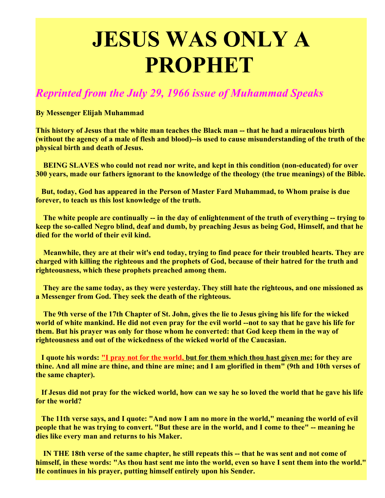## **JESUS WAS ONLY A PROPHET**

## *Reprinted from the July 29, 1966 issue of Muhammad Speaks*

**By Messenger Elijah Muhammad**

**This history of Jesus that the white man teaches the Black man -- that he had a miraculous birth (without the agency of a male of flesh and blood)--is used to cause misunderstanding of the truth of the physical birth and death of Jesus.**

**BEING SLAVES who could not read nor write, and kept in this condition (non-educated) for over 300 years, made our fathers ignorant to the knowledge of the theology (the true meanings) of the Bible.**

**But, today, God has appeared in the Person of Master Fard Muhammad, to Whom praise is due forever, to teach us this lost knowledge of the truth.**

**The white people are continually -- in the day of enlightenment of the truth of everything -- trying to keep the so-called Negro blind, deaf and dumb, by preaching Jesus as being God, Himself, and that he died for the world of their evil kind.**

**Meanwhile, they are at their wit's end today, trying to find peace for their troubled hearts. They are charged with killing the righteous and the prophets of God, because of their hatred for the truth and righteousness, which these prophets preached among them.**

**They are the same today, as they were yesterday. They still hate the righteous, and one missioned as a Messenger from God. They seek the death of the righteous.**

**The 9th verse of the 17th Chapter of St. John, gives the lie to Jesus giving his life for the wicked world of white mankind. He did not even pray for the evil world --not to say that he gave his life for them. But his prayer was only for those whom he converted: that God keep them in the way of righteousness and out of the wickedness of the wicked world of the Caucasian.**

**I quote his words: "I pray not for the world, but for them which thou hast given me; for they are thine. And all mine are thine, and thine are mine; and I am glorified in them" (9th and 10th verses of the same chapter).**

**If Jesus did not pray for the wicked world, how can we say he so loved the world that he gave his life for the world?**

**The 11th verse says, and I quote: "And now I am no more in the world," meaning the world of evil people that he was trying to convert. "But these are in the world, and I come to thee" -- meaning he dies like every man and returns to his Maker.**

**IN THE 18th verse of the same chapter, he still repeats this -- that he was sent and not come of himself, in these words: "As thou hast sent me into the world, even so have I sent them into the world." He continues in his prayer, putting himself entirely upon his Sender.**